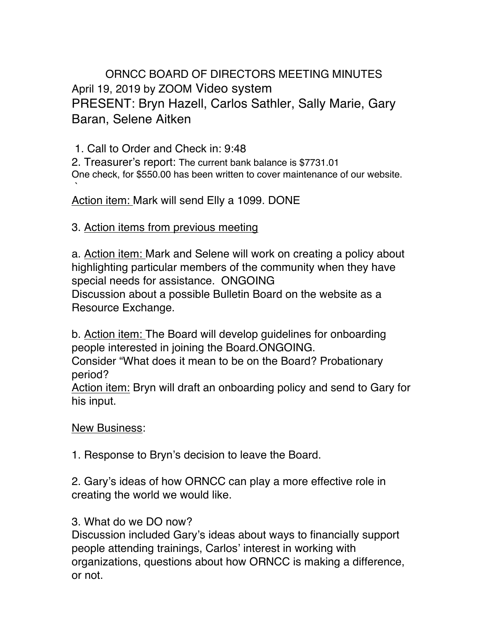ORNCC BOARD OF DIRECTORS MEETING MINUTES April 19, 2019 by ZOOM Video system PRESENT: Bryn Hazell, Carlos Sathler, Sally Marie, Gary Baran, Selene Aitken

1. Call to Order and Check in: 9:48

2. Treasurer's report: The current bank balance is \$7731.01 One check, for \$550.00 has been written to cover maintenance of our website.

` Action item: Mark will send Elly a 1099. DONE

## 3. Action items from previous meeting

a. Action item: Mark and Selene will work on creating a policy about highlighting particular members of the community when they have special needs for assistance. ONGOING Discussion about a possible Bulletin Board on the website as a Resource Exchange.

b. Action item: The Board will develop guidelines for onboarding people interested in joining the Board.ONGOING.

Consider "What does it mean to be on the Board? Probationary period?

Action item: Bryn will draft an onboarding policy and send to Gary for his input.

## New Business:

1. Response to Bryn's decision to leave the Board.

2. Gary's ideas of how ORNCC can play a more effective role in creating the world we would like.

## 3. What do we DO now?

Discussion included Gary's ideas about ways to financially support people attending trainings, Carlos' interest in working with organizations, questions about how ORNCC is making a difference, or not.